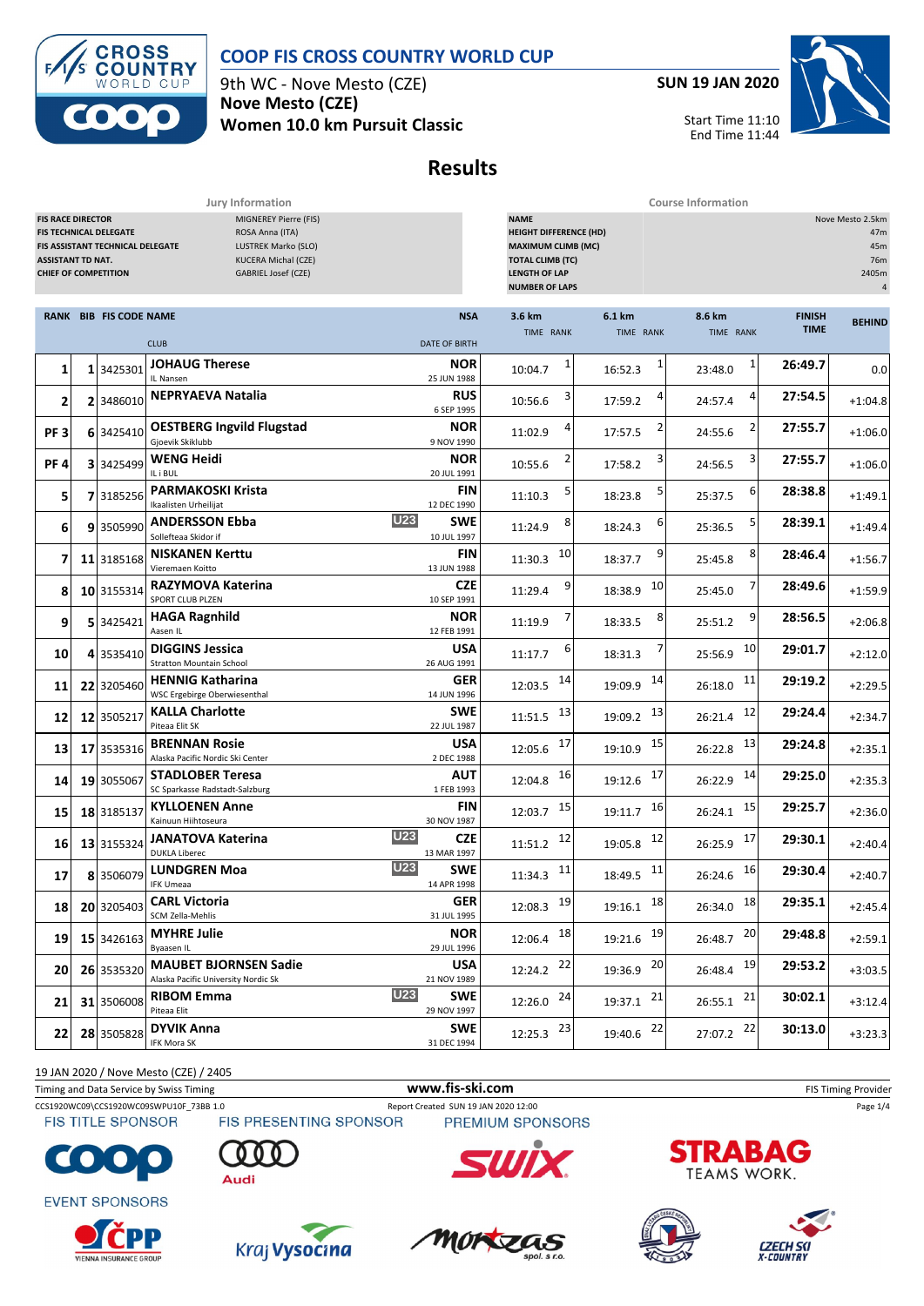

**ROSS**  $\overline{\mathbf{C}}$ **OUNTRY** CUP  $\mathsf{D}$ 

9th WC - Nove Mesto (CZE) **Nove Mesto (CZE) Women 10.0 km Pursuit Classic** **SUN 19 JAN 2020**



Start Time 11:10 End Time 11:44

# **Results**

**Jury Information Course Information**

| <b>FIS RACE DIRECTOR</b><br>MIGNEREY Pierre (FIS)<br>ROSA Anna (ITA)<br>FIS TECHNICAL DELEGATE<br>LUSTREK Marko (SLO)<br>FIS ASSISTANT TECHNICAL DELEGATE<br><b>ASSISTANT TD NAT.</b><br>KUCERA Michal (CZE)<br><b>CHIEF OF COMPETITION</b><br>GABRIEL Josef (CZE) |  |                               |                                                                                    | <b>NAME</b><br>Nove Mesto 2.5km<br><b>HEIGHT DIFFERENCE (HD)</b><br>47m<br><b>MAXIMUM CLIMB (MC)</b><br>45m<br><b>TOTAL CLIMB (TC)</b><br>76m<br><b>LENGTH OF LAP</b><br>2405m<br><b>NUMBER OF LAPS</b><br>4 |                         |                     |                         |                              |               |
|--------------------------------------------------------------------------------------------------------------------------------------------------------------------------------------------------------------------------------------------------------------------|--|-------------------------------|------------------------------------------------------------------------------------|--------------------------------------------------------------------------------------------------------------------------------------------------------------------------------------------------------------|-------------------------|---------------------|-------------------------|------------------------------|---------------|
|                                                                                                                                                                                                                                                                    |  | <b>RANK BIB FIS CODE NAME</b> | <b>CLUB</b><br><b>DATE OF BIRTH</b>                                                | <b>NSA</b>                                                                                                                                                                                                   | 3.6 km<br>TIME RANK     | 6.1 km<br>TIME RANK | 8.6 km<br>TIME RANK     | <b>FINISH</b><br><b>TIME</b> | <b>BEHIND</b> |
| 1                                                                                                                                                                                                                                                                  |  | 1 3425301                     | <b>JOHAUG Therese</b><br>IL Nansen<br>25 JUN 1988                                  | NOR                                                                                                                                                                                                          | 1<br>10:04.7            | 1<br>16:52.3        | $\mathbf{1}$<br>23:48.0 | 26:49.7                      | 0.0           |
| 2                                                                                                                                                                                                                                                                  |  | 2 3486010                     | <b>NEPRYAEVA Natalia</b><br>6 SEP 1995                                             | RUS                                                                                                                                                                                                          | 10:56.6                 | 17:59.2             | 24:57.4                 | 27:54.5                      | $+1:04.8$     |
| PF <sub>3</sub>                                                                                                                                                                                                                                                    |  | 6 3425410                     | <b>OESTBERG Ingvild Flugstad</b><br>Gjoevik Skiklubb<br>9 NOV 1990                 | <b>NOR</b>                                                                                                                                                                                                   | 11:02.9                 | 17:57.5             | 24:55.6                 | 27:55.7                      | $+1:06.0$     |
| PF4                                                                                                                                                                                                                                                                |  | 3 3425499                     | <b>WENG Heidi</b><br>IL i BUL<br>20 JUL 1991                                       | <b>NOR</b>                                                                                                                                                                                                   | 10:55.6                 | 3<br>17:58.2        | 3<br>24:56.5            | 27:55.7                      | $+1:06.0$     |
| 5                                                                                                                                                                                                                                                                  |  | 7 3185256                     | <b>PARMAKOSKI Krista</b><br>Ikaalisten Urheilijat<br>12 DEC 1990                   | FIN                                                                                                                                                                                                          | 11:10.3                 | 5<br>18:23.8        | 6<br>25:37.5            | 28:38.8                      | $+1:49.1$     |
| 6                                                                                                                                                                                                                                                                  |  | 9 3505990                     | U23<br><b>ANDERSSON Ebba</b><br>Sollefteaa Skidor if<br>10 JUL 1997                | <b>SWE</b>                                                                                                                                                                                                   | 8<br>11:24.9            | 6<br>18:24.3        | 25:36.5                 | 28:39.1                      | $+1:49.4$     |
| 7                                                                                                                                                                                                                                                                  |  | 11 3185168                    | <b>NISKANEN Kerttu</b><br>13 JUN 1988<br>Vieremaen Koitto                          | FIN                                                                                                                                                                                                          | 10<br>11:30.3           | 9<br>18:37.7        | 8<br>25:45.8            | 28:46.4                      | $+1:56.7$     |
| 8                                                                                                                                                                                                                                                                  |  | 10 3155314                    | RAZYMOVA Katerina<br>SPORT CLUB PLZEN<br>10 SEP 1991                               | <b>CZE</b>                                                                                                                                                                                                   | 9<br>11:29.4            | 10<br>18:38.9       | 25:45.0                 | 28:49.6                      | $+1:59.9$     |
| 9                                                                                                                                                                                                                                                                  |  | 5 3425421                     | <b>HAGA Ragnhild</b><br>Aasen IL<br>12 FEB 1991                                    | <b>NOR</b>                                                                                                                                                                                                   | 11:19.9                 | 8<br>18:33.5        | 9<br>25:51.2            | 28:56.5                      | $+2:06.8$     |
| 10                                                                                                                                                                                                                                                                 |  | 4 3535410                     | <b>DIGGINS Jessica</b><br><b>Stratton Mountain School</b><br>26 AUG 1991           | USA                                                                                                                                                                                                          | ь<br>11:17.7            | 18:31.3             | 10<br>25:56.9           | 29:01.7                      | $+2:12.0$     |
| 11                                                                                                                                                                                                                                                                 |  | 22 3205460                    | <b>HENNIG Katharina</b><br>WSC Ergebirge Oberwiesenthal<br>14 JUN 1996             | GER                                                                                                                                                                                                          | 14<br>12:03.5           | 14<br>19:09.9       | 11<br>26:18.0           | 29:19.2                      | $+2:29.5$     |
| 12                                                                                                                                                                                                                                                                 |  | 12 3505217                    | <b>KALLA Charlotte</b><br>Piteaa Elit SK<br>22 JUL 1987                            | <b>SWE</b>                                                                                                                                                                                                   | 13<br>11:51.5           | 13<br>19:09.2       | 12<br>26:21.4           | 29:24.4                      | $+2:34.7$     |
| 13                                                                                                                                                                                                                                                                 |  | 17 3535316                    | <b>BRENNAN Rosie</b><br>Alaska Pacific Nordic Ski Center<br>2 DEC 1988             | USA                                                                                                                                                                                                          | 17<br>12:05.6           | 15<br>19:10.9       | 13<br>26:22.8           | 29:24.8                      | $+2:35.1$     |
| 14                                                                                                                                                                                                                                                                 |  | 19 3055067                    | <b>STADLOBER Teresa</b><br>1 FEB 1993<br>SC Sparkasse Radstadt-Salzburg            | AUT                                                                                                                                                                                                          | 16<br>12:04.8           | 17<br>19:12.6       | 14<br>26:22.9           | 29:25.0                      | $+2:35.3$     |
| 15                                                                                                                                                                                                                                                                 |  | 18 3185137                    | <b>KYLLOENEN Anne</b><br>Kainuun Hiihtoseura<br>30 NOV 1987                        | <b>FIN</b>                                                                                                                                                                                                   | - 15<br>12:03.7         | 16<br>19:11.7       | 15<br>26:24.1           | 29:25.7                      | $+2:36.0$     |
| 16                                                                                                                                                                                                                                                                 |  | 13 3155324                    | <b>U23</b><br><b>JANATOVA Katerina</b><br><b>DUKLA Liberec</b><br>13 MAR 1997      | <b>CZE</b>                                                                                                                                                                                                   | 12<br>11:51.2           | 12<br>19:05.8       | 17<br>26:25.9           | 29:30.1                      | $+2:40.4$     |
| 17                                                                                                                                                                                                                                                                 |  | 8 3506079                     | <b>U23</b><br><b>LUNDGREN Moa</b><br>14 APR 1998<br><b>IFK Umeaa</b>               | <b>SWE</b>                                                                                                                                                                                                   | $11:34.3$ <sup>11</sup> | -11<br>18:49.5      | 16<br>26:24.6           | 29:30.4                      | $+2:40.7$     |
| 18                                                                                                                                                                                                                                                                 |  | 20 3205403                    | <b>CARL Victoria</b><br>SCM Zella-Mehlis<br>31 JUL 1995                            | <b>GER</b>                                                                                                                                                                                                   | 12:08.3 19              | $19:16.1$ 18        | 18<br>26:34.0           | 29:35.1                      | $+2:45.4$     |
| 19                                                                                                                                                                                                                                                                 |  | 15 3426163                    | <b>MYHRE Julie</b><br>Byaasen IL<br>29 JUL 1996                                    | <b>NOR</b>                                                                                                                                                                                                   | $12:06.4$ 18            | 19:21.6 19          | 26:48.7 20              | 29:48.8                      | $+2:59.1$     |
| 20                                                                                                                                                                                                                                                                 |  | 26 3535320                    | <b>MAUBET BJORNSEN Sadie</b><br>21 NOV 1989<br>Alaska Pacific University Nordic Sk | <b>USA</b>                                                                                                                                                                                                   | 12:24.2 22              | 19:36.9 20          | 26:48.4 19              | 29:53.2                      | $+3:03.5$     |
| 21                                                                                                                                                                                                                                                                 |  | 31 3506008                    | <b>U23</b><br><b>RIBOM Emma</b><br>Piteaa Elit<br>29 NOV 1997                      | <b>SWE</b>                                                                                                                                                                                                   | $12:26.0$ 24            | 19:37.1 21          | $26:55.1$ 21            | 30:02.1                      | $+3:12.4$     |
| $22 \mid$                                                                                                                                                                                                                                                          |  | 28 3505828                    | <b>DYVIK Anna</b><br>IFK Mora SK<br>31 DEC 1994                                    | <b>SWE</b>                                                                                                                                                                                                   | $12:25.3$ $23$          | 19:40.6 22          | 27:07.2 22              | 30:13.0                      | $+3:23.3$     |

19 JAN 2020 / Nove Mesto (CZE) / 2405

Timing and Data Service by Swiss Timing **WWW.fis-Ski.com WWW.fis-Ski.com** FIS Timing Provider

CCS1920WC09\CCS1920WC09SWPU10F\_73BB 1.0 Report Created SUN 19 JAN 2020 12:00 Page 1/4<br>FIS TITLE SPONSOR FIS PRESENTING SPONSOR PREMIUM SPONSORS **FIS TITLE SPONSOR** 



**EVENT SPONSORS** 

















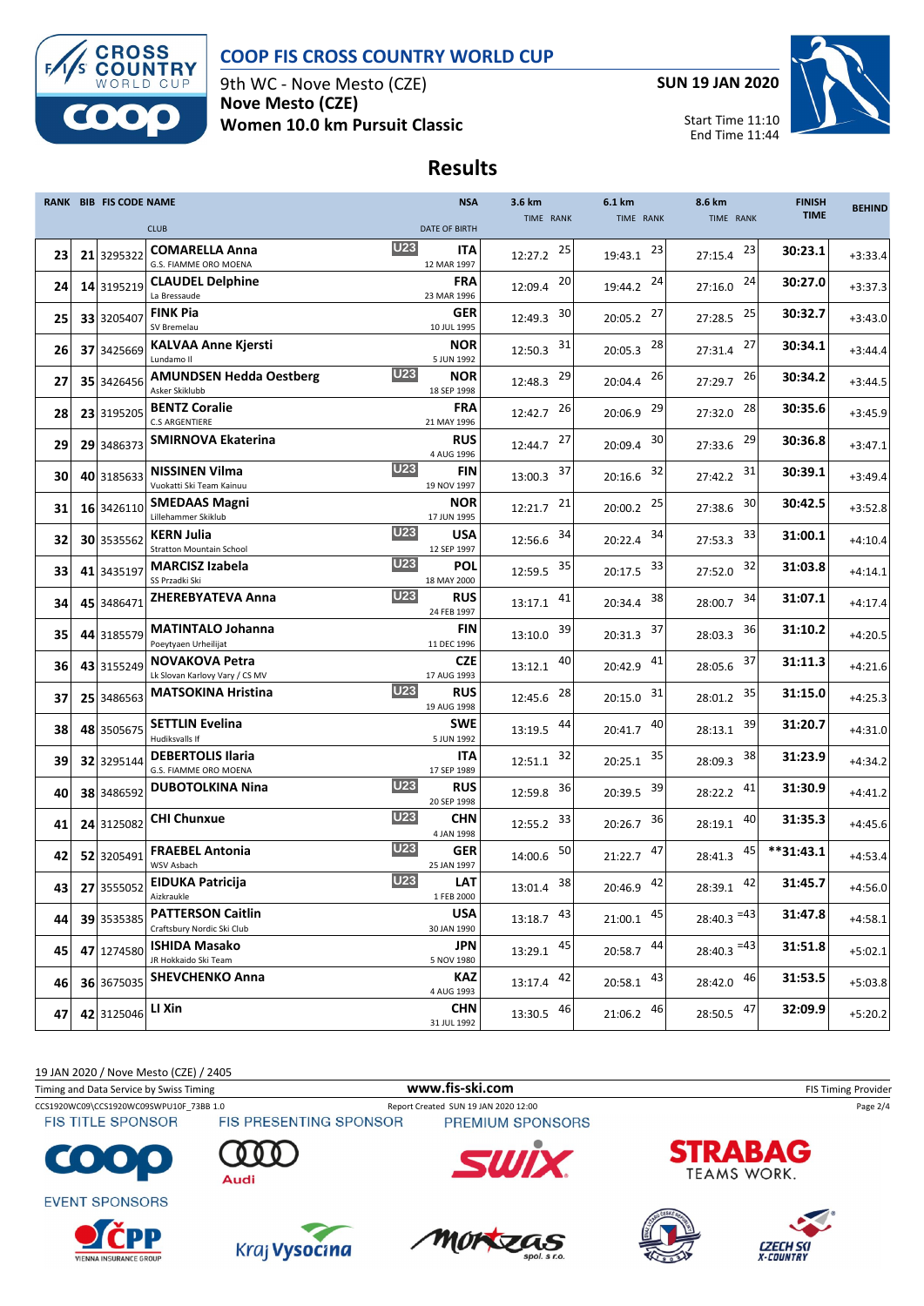

#### **COOP FIS CROSS COUNTRY WORLD CUP**

9th WC - Nove Mesto (CZE) **Nove Mesto (CZE) Women 10.0 km Pursuit Classic** **SUN 19 JAN 2020**



Start Time 11:10 End Time 11:44

### **Results**

|    | <b>RANK BIB FIS CODE NAME</b> |                                                                    | <b>NSA</b>                | 3.6 km         | 6.1 km        | 8.6 km                   | <b>FINISH</b> | <b>BEHIND</b> |
|----|-------------------------------|--------------------------------------------------------------------|---------------------------|----------------|---------------|--------------------------|---------------|---------------|
|    |                               | <b>CLUB</b>                                                        | <b>DATE OF BIRTH</b>      | TIME RANK      | TIME RANK     | TIME RANK                | <b>TIME</b>   |               |
| 23 | 21 3295322                    | <b>U23</b><br><b>COMARELLA Anna</b><br>G.S. FIAMME ORO MOENA       | ITA<br>12 MAR 1997        | 25<br>12:27.2  | 23<br>19:43.1 | 23<br>27:15.4            | 30:23.1       | $+3:33.4$     |
| 24 | 14 3195219                    | <b>CLAUDEL Delphine</b><br>La Bressaude                            | <b>FRA</b><br>23 MAR 1996 | 20<br>12:09.4  | 24<br>19:44.2 | 24<br>27:16.0            | 30:27.0       | $+3:37.3$     |
| 25 | 33 3205407                    | <b>FINK Pia</b><br>SV Bremelau                                     | GER<br>10 JUL 1995        | 30<br>12:49.3  | 27<br>20:05.2 | 25<br>27:28.5            | 30:32.7       | $+3:43.0$     |
| 26 | 37 3425669                    | <b>KALVAA Anne Kjersti</b><br>Lundamo II                           | <b>NOR</b><br>5 JUN 1992  | 31<br>12:50.3  | 28<br>20:05.3 | 27<br>27:31.4            | 30:34.1       | $+3:44.4$     |
| 27 | 35 3426456                    | <b>U23</b><br><b>AMUNDSEN Hedda Oestberg</b><br>Asker Skiklubb     | <b>NOR</b><br>18 SEP 1998 | 29<br>12:48.3  | 26<br>20:04.4 | 26<br>27:29.7            | 30:34.2       | $+3:44.5$     |
| 28 | 23 3195205                    | <b>BENTZ Coralie</b><br><b>C.S ARGENTIERE</b>                      | <b>FRA</b><br>21 MAY 1996 | 26<br>12:42.7  | 29<br>20:06.9 | 28<br>27:32.0            | 30:35.6       | $+3:45.9$     |
| 29 | 29 3486373                    | <b>SMIRNOVA Ekaterina</b>                                          | RUS<br>4 AUG 1996         | 27<br>12:44.7  | 30<br>20:09.4 | 29<br>27:33.6            | 30:36.8       | $+3:47.1$     |
| 30 | 40 3185633                    | <b>U23</b><br><b>NISSINEN Vilma</b><br>Vuokatti Ski Team Kainuu    | FIN<br>19 NOV 1997        | 37<br>13:00.3  | 32<br>20:16.6 | 31<br>27:42.2            | 30:39.1       | $+3:49.4$     |
| 31 | 16 3426110                    | <b>SMEDAAS Magni</b><br>Lillehammer Skiklub                        | <b>NOR</b><br>17 JUN 1995 | 21<br>12:21.7  | 25<br>20:00.2 | 30<br>27:38.6            | 30:42.5       | $+3:52.8$     |
| 32 | 30 3535562                    | <b>U23</b><br><b>KERN Julia</b><br><b>Stratton Mountain School</b> | <b>USA</b><br>12 SEP 1997 | 34<br>12:56.6  | 34<br>20:22.4 | 33<br>27:53.3            | 31:00.1       | $+4:10.4$     |
| 33 | 41 3435197                    | <b>U23</b><br><b>MARCISZ Izabela</b><br>SS Przadki Ski             | POL<br>18 MAY 2000        | 35<br>12:59.5  | 33<br>20:17.5 | 32<br>27:52.0            | 31:03.8       | $+4:14.1$     |
| 34 | 45 3486471                    | <b>U23</b><br><b>ZHEREBYATEVA Anna</b>                             | <b>RUS</b><br>24 FEB 1997 | 41<br>13:17.1  | 38<br>20:34.4 | 34<br>28:00.7            | 31:07.1       | $+4:17.4$     |
| 35 | 44 3185579                    | <b>MATINTALO Johanna</b><br>Poeytyaen Urheilijat                   | <b>FIN</b><br>11 DEC 1996 | 39<br>13:10.0  | 37<br>20:31.3 | 36<br>28:03.3            | 31:10.2       | $+4:20.5$     |
| 36 | 43 3155249                    | <b>NOVAKOVA Petra</b><br>Lk Slovan Karlovy Vary / CS MV            | CZE<br>17 AUG 1993        | 40<br>13:12.1  | 41<br>20:42.9 | 37<br>28:05.6            | 31:11.3       | $+4:21.6$     |
| 37 | 25 3486563                    | <b>U23</b><br><b>MATSOKINA Hristina</b>                            | RUS<br>19 AUG 1998        | 28<br>12:45.6  | 31<br>20:15.0 | 35<br>28:01.2            | 31:15.0       | $+4:25.3$     |
| 38 | 48 3505675                    | <b>SETTLIN Evelina</b><br>Hudiksvalls If                           | <b>SWE</b><br>5 JUN 1992  | 44<br>13:19.5  | 40<br>20:41.7 | 39<br>28:13.1            | 31:20.7       | $+4:31.0$     |
| 39 | 32 3295144                    | <b>DEBERTOLIS Ilaria</b><br>G.S. FIAMME ORO MOENA                  | <b>ITA</b><br>17 SEP 1989 | 32<br>12:51.1  | 35<br>20:25.1 | 38<br>28:09.3            | 31:23.9       | $+4:34.2$     |
| 40 | 38 3486592                    | <b>U23</b><br><b>DUBOTOLKINA Nina</b>                              | RUS<br>20 SEP 1998        | 36<br>12:59.8  | 39<br>20:39.5 | 41<br>28:22.2            | 31:30.9       | $+4:41.2$     |
| 41 | 24 3125082                    | <b>U23</b><br><b>CHI Chunxue</b>                                   | <b>CHN</b><br>4 JAN 1998  | 33<br>12:55.2  | 36<br>20:26.7 | 40<br>28:19.1            | 31:35.3       | $+4:45.6$     |
| 42 | 52 3205491                    | <b>U23</b><br><b>FRAEBEL Antonia</b><br>WSV Asbach                 | GER<br>25 JAN 1997        | 50<br>14:00.6  | 47<br>21:22.7 | 45<br>28:41.3            | $**31:43.1$   | $+4:53.4$     |
| 43 | 27 3555052                    | <b>U23</b><br>EIDUKA Patricija<br>Aizkraukle                       | <b>LAT</b><br>1 FEB 2000  | 38<br>13:01.4  | 42<br>20:46.9 | 42<br>28:39.1            | 31:45.7       | $+4:56.0$     |
| 44 | 39 3535385                    | <b>PATTERSON Caitlin</b><br>Craftsbury Nordic Ski Club             | <b>USA</b><br>30 JAN 1990 | $13:18.7$ $43$ | $21:00.1$ 45  | $28:40.3$ <sup>=43</sup> | 31:47.8       | $+4:58.1$     |
| 45 | 47 1274580                    | <b>ISHIDA Masako</b><br>JR Hokkaido Ski Team                       | JPN<br>5 NOV 1980         | $13:29.1$ $45$ | 44<br>20:58.7 | $28:40.3$ <sup>=43</sup> | 31:51.8       | $+5:02.1$     |
| 46 | 36 3675035                    | <b>SHEVCHENKO Anna</b>                                             | KAZ<br>4 AUG 1993         | 13:17.4 42     | $20:58.1$ 43  | 28:42.0 46               | 31:53.5       | $+5:03.8$     |
| 47 | 42 3125046                    | LI Xin                                                             | <b>CHN</b><br>31 JUL 1992 | 13:30.5 46     | 46<br>21:06.2 | 47<br>28:50.5            | 32:09.9       | $+5:20.2$     |

19 JAN 2020 / Nove Mesto (CZE) / 2405

Timing and Data Service by Swiss Timing **WWW.fis-Ski.com WWW.fis-Ski.com** FIS Timing Provider

CCS1920WC09\CCS1920WC09SWPU10F\_73BB 1.0 Report Created SUN 19 JAN 2020 12:00 Page 2/4<br>FIS TITLE SPONSOR FIS PRESENTING SPONSOR PREMIUM SPONSORS

**FIS TITLE SPONSOR** 

**EVENT SPONSORS** 

 $\bullet$ 















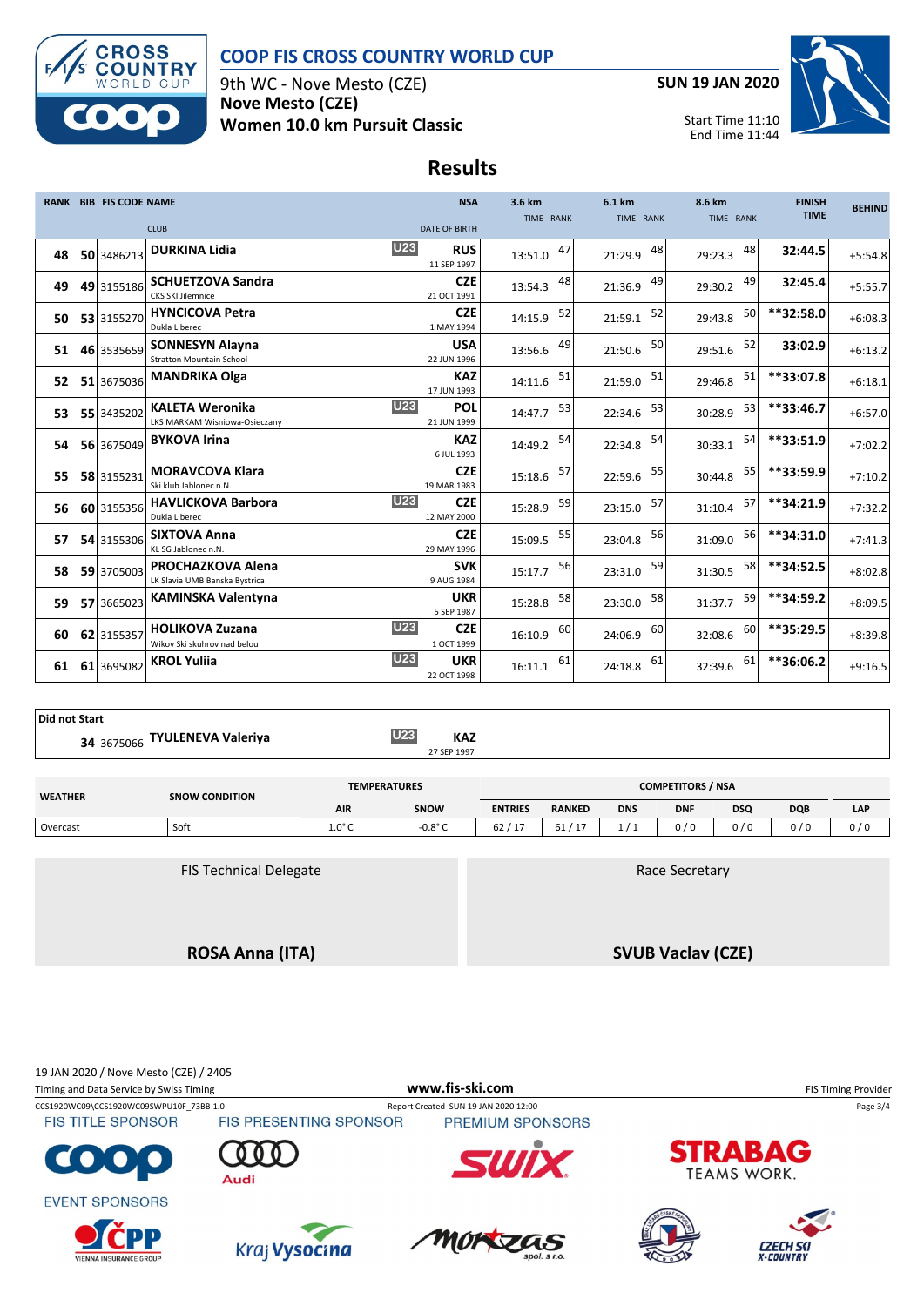

#### **COOP FIS CROSS COUNTRY WORLD CUP**

9th WC - Nove Mesto (CZE) **Nove Mesto (CZE) Women 10.0 km Pursuit Classic** **SUN 19 JAN 2020**



Start Time 11:10 End Time 11:44

### **Results**

|    | <b>RANK BIB FIS CODE NAME</b> |                                                           | <b>NSA</b>                              | 3.6 km        | 6.1 km        | 8.6 km        | <b>FINISH</b> | <b>BEHIND</b> |
|----|-------------------------------|-----------------------------------------------------------|-----------------------------------------|---------------|---------------|---------------|---------------|---------------|
|    |                               | <b>CLUB</b>                                               | <b>DATE OF BIRTH</b>                    | TIME RANK     | TIME RANK     | TIME RANK     | <b>TIME</b>   |               |
|    |                               |                                                           |                                         |               |               |               |               |               |
| 48 | 50 3486213                    | <b>DURKINA Lidia</b>                                      | <b>U23</b><br><b>RUS</b><br>11 SEP 1997 | 47<br>13:51.0 | 48<br>21:29.9 | 48<br>29:23.3 | 32:44.5       | $+5:54.8$     |
| 49 | 49 3155186                    | <b>SCHUETZOVA Sandra</b>                                  | <b>CZE</b>                              | 48<br>13:54.3 | 49<br>21:36.9 | 49<br>29:30.2 | 32:45.4       | $+5:55.7$     |
|    |                               | <b>CKS SKI Jilemnice</b>                                  | 21 OCT 1991                             |               |               |               |               |               |
| 50 | 53 3155270                    | <b>HYNCICOVA Petra</b><br>Dukla Liberec                   | <b>CZE</b><br>1 MAY 1994                | 52<br>14:15.9 | 52<br>21:59.1 | 50<br>29:43.8 | **32:58.0     | $+6:08.3$     |
| 51 | 46 3535659                    | <b>SONNESYN Alayna</b>                                    | <b>USA</b>                              | 49<br>13:56.6 | 50<br>21:50.6 | 52<br>29:51.6 | 33:02.9       | $+6:13.2$     |
|    |                               | <b>Stratton Mountain School</b>                           | 22 JUN 1996                             |               |               |               |               |               |
| 52 | 51 3675036                    | <b>MANDRIKA Olga</b>                                      | <b>KAZ</b><br>17 JUN 1993               | 51<br>14:11.6 | 51<br>21:59.0 | 51<br>29:46.8 | **33:07.8     | $+6:18.1$     |
| 53 | 55 3435202                    | <b>KALETA Weronika</b><br>LKS MARKAM Wisniowa-Osieczany   | <b>U23</b><br>POL<br>21 JUN 1999        | 53<br>14:47.7 | 53<br>22:34.6 | 53<br>30:28.9 | **33:46.7     | $+6:57.0$     |
| 54 | 56 3675049                    | <b>BYKOVA Irina</b>                                       | <b>KAZ</b><br>6 JUL 1993                | 54<br>14:49.2 | 54<br>22:34.8 | 54<br>30:33.1 | **33:51.9     | $+7:02.2$     |
| 55 | 58 3155231                    | <b>MORAVCOVA Klara</b><br>Ski klub Jablonec n.N.          | <b>CZE</b><br>19 MAR 1983               | 57<br>15:18.6 | 55<br>22:59.6 | 55<br>30:44.8 | **33:59.9     | $+7:10.2$     |
| 56 | 60 3155356                    | <b>HAVLICKOVA Barbora</b><br>Dukla Liberec                | <b>U23</b><br><b>CZE</b><br>12 MAY 2000 | 59<br>15:28.9 | 57<br>23:15.0 | 57<br>31:10.4 | **34:21.9     | $+7:32.2$     |
| 57 | 54 3155306                    | <b>SIXTOVA Anna</b><br>KL SG Jablonec n.N.                | <b>CZE</b><br>29 MAY 1996               | 55<br>15:09.5 | 56<br>23:04.8 | 56<br>31:09.0 | **34:31.0     | $+7:41.3$     |
| 58 | 59 3705003                    | <b>PROCHAZKOVA Alena</b><br>LK Slavia UMB Banska Bystrica | <b>SVK</b><br>9 AUG 1984                | 56<br>15:17.7 | 59<br>23:31.0 | 58<br>31:30.5 | **34:52.5     | $+8:02.8$     |
| 59 | 57 3665023                    | <b>KAMINSKA Valentyna</b>                                 | <b>UKR</b><br>5 SEP 1987                | 58<br>15:28.8 | 58<br>23:30.0 | 59<br>31:37.7 | **34:59.2     | $+8:09.5$     |
| 60 | 62 3155357                    | <b>HOLIKOVA Zuzana</b><br>Wikov Ski skuhrov nad belou     | <b>U23</b><br><b>CZE</b><br>1 OCT 1999  | 60<br>16:10.9 | 60<br>24:06.9 | 60<br>32:08.6 | **35:29.5     | $+8:39.8$     |
| 61 | 61 3695082                    | <b>KROL Yuliia</b>                                        | <b>U23</b><br><b>UKR</b><br>22 OCT 1998 | 61<br>16:11.1 | 61<br>24:18.8 | 61<br>32:39.6 | **36:06.2     | $+9:16.5$     |

**Did not Start**

**TYULENEVA Valeriya U23 KAZ** 27 SEP 1997 **<sup>34</sup>** <sup>3675066</sup>

| <b>WEATHER</b> | <b>SNOW CONDITION</b>         | <b>TEMPERATURES</b> |                  |                |               |            | <b>COMPETITORS / NSA</b> |            |            |     |
|----------------|-------------------------------|---------------------|------------------|----------------|---------------|------------|--------------------------|------------|------------|-----|
|                |                               | <b>AIR</b>          | <b>SNOW</b>      | <b>ENTRIES</b> | <b>RANKED</b> | <b>DNS</b> | <b>DNF</b>               | <b>DSQ</b> | <b>DQB</b> | LAP |
| Overcast       | Soft                          | $1.0^\circ$ C       | $-0.8^{\circ}$ C | 62/17          | 61/17         | 1/1        | 0/0                      | 0/0        | 0/0        | 0/0 |
|                |                               |                     |                  |                |               |            |                          |            |            |     |
|                | <b>FIS Technical Delegate</b> |                     |                  |                |               |            | Race Secretary           |            |            |     |

**ROSA Anna (ITA)**

**SVUB Vaclav (CZE)**

19 JAN 2020 / Nove Mesto (CZE) / 2405